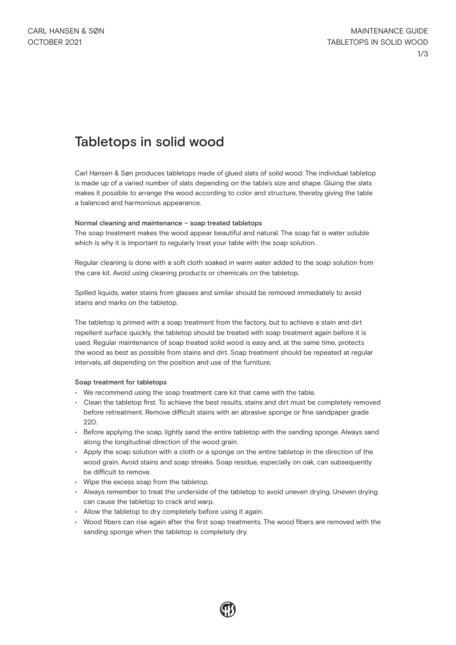# Tabletops in solid wood

Carl Hansen & Søn produces tabletops made of glued slats of solid wood. The individual tabletop is made up of a varied number of slats depending on the table's size and shape. Gluing the slats makes it possible to arrange the wood according to color and structure, thereby giving the table a balanced and harmonious appearance.

## Normal cleaning and maintenance – soap treated tabletops

The soap treatment makes the wood appear beautiful and natural. The soap fat is water soluble which is why it is important to regularly treat your table with the soap solution.

Regular cleaning is done with a soft cloth soaked in warm water added to the soap solution from the care kit. Avoid using cleaning products or chemicals on the tabletop.

Spilled liquids, water stains from glasses and similar should be removed immediately to avoid stains and marks on the tabletop.

The tabletop is primed with a soap treatment from the factory, but to achieve a stain and dirt repellent surface quickly, the tabletop should be treated with soap treatment again before it is used. Regular maintenance of soap treated solid wood is easy and, at the same time, protects the wood as best as possible from stains and dirt. Soap treatment should be repeated at regular intervals, all depending on the position and use of the furniture.

#### Soap treatment for tabletops

- We recommend using the soap treatment care kit that came with the table.
- Clean the tabletop first. To achieve the best results, stains and dirt must be completely removed before retreatment. Remove difficult stains with an abrasive sponge or fine sandpaper grade 220.
- Before applying the soap, lightly sand the entire tabletop with the sanding sponge. Always sand along the longitudinal direction of the wood grain.
- Apply the soap solution with a cloth or a sponge on the entire tabletop in the direction of the wood grain. Avoid stains and soap streaks. Soap residue, especially on oak, can subsequently be difficult to remove.
- Wipe the excess soap from the tabletop.
- Always remember to treat the underside of the tabletop to avoid uneven drying. Uneven drying can cause the tabletop to crack and warp.
- Allow the tabletop to dry completely before using it again.
- Wood fibers can rise again after the first soap treatments. The wood fibers are removed with the sanding sponge when the tabletop is completely dry.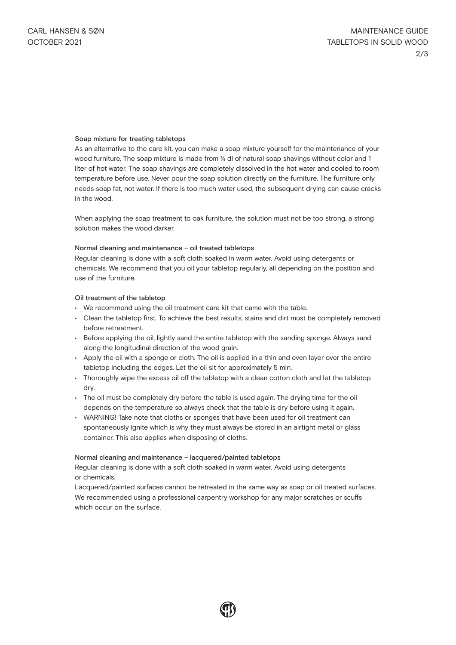# Soap mixture for treating tabletops

As an alternative to the care kit, you can make a soap mixture yourself for the maintenance of your wood furniture. The soap mixture is made from  $\frac{1}{4}$  dl of natural soap shavings without color and 1 liter of hot water. The soap shavings are completely dissolved in the hot water and cooled to room temperature before use. Never pour the soap solution directly on the furniture. The furniture only needs soap fat, not water. If there is too much water used, the subsequent drying can cause cracks in the wood.

When applying the soap treatment to oak furniture, the solution must not be too strong, a strong solution makes the wood darker.

#### Normal cleaning and maintenance – oil treated tabletops

Regular cleaning is done with a soft cloth soaked in warm water. Avoid using detergents or chemicals. We recommend that you oil your tabletop regularly, all depending on the position and use of the furniture.

### Oil treatment of the tabletop

- We recommend using the oil treatment care kit that came with the table.
- Clean the tabletop first. To achieve the best results, stains and dirt must be completely removed before retreatment.
- Before applying the oil, lightly sand the entire tabletop with the sanding sponge. Always sand along the longitudinal direction of the wood grain.
- Apply the oil with a sponge or cloth. The oil is applied in a thin and even layer over the entire tabletop including the edges. Let the oil sit for approximately 5 min.
- Thoroughly wipe the excess oil off the tabletop with a clean cotton cloth and let the tabletop dry.
- The oil must be completely dry before the table is used again. The drying time for the oil depends on the temperature so always check that the table is dry before using it again.
- WARNING! Take note that cloths or sponges that have been used for oil treatment can spontaneously ignite which is why they must always be stored in an airtight metal or glass container. This also applies when disposing of cloths.

#### Normal cleaning and maintenance – lacquered/painted tabletops

Regular cleaning is done with a soft cloth soaked in warm water. Avoid using detergents or chemicals.

Lacquered/painted surfaces cannot be retreated in the same way as soap or oil treated surfaces. We recommended using a professional carpentry workshop for any major scratches or scuffs which occur on the surface.